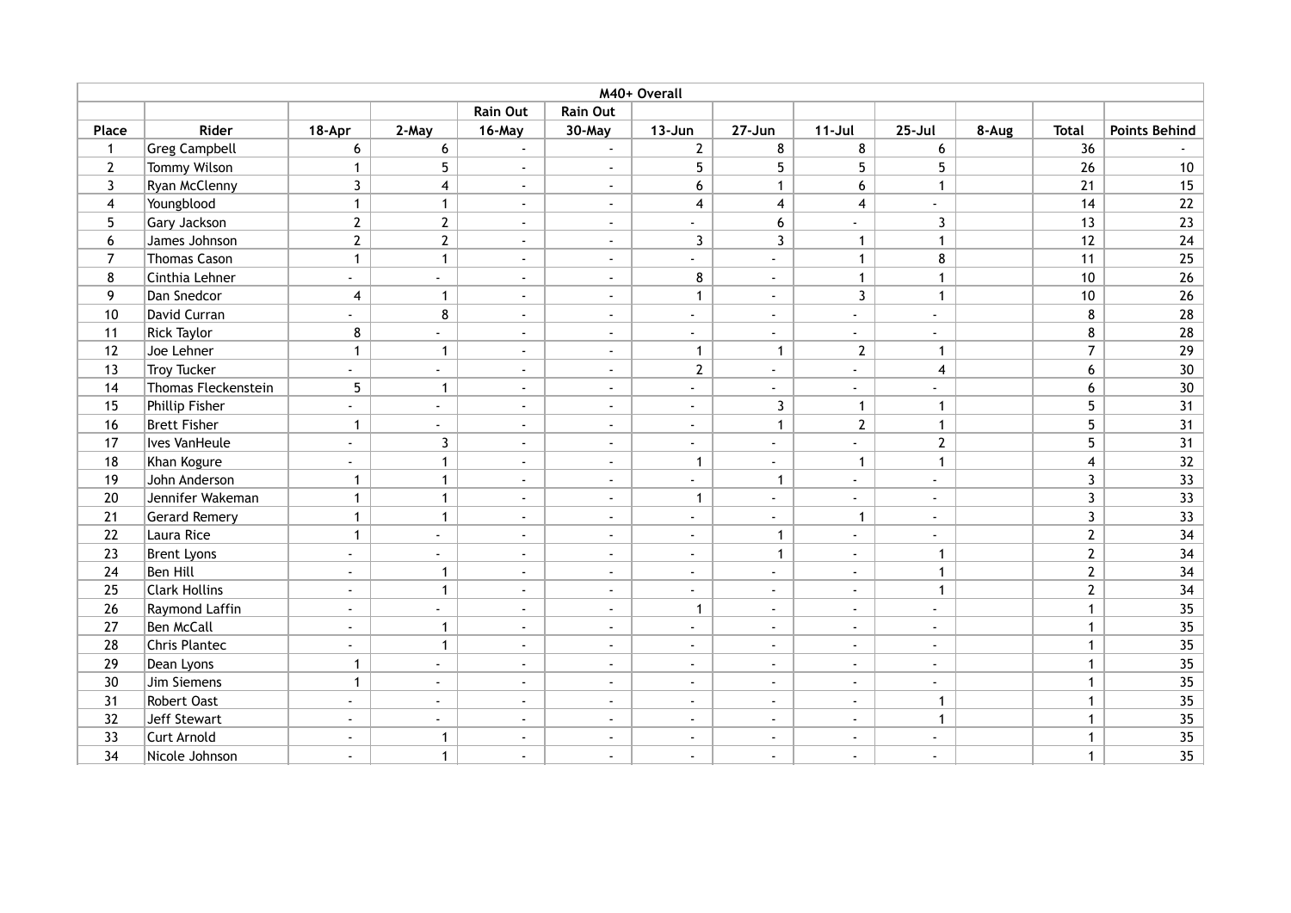|                | M40+ Overall         |                         |                           |                             |                          |                             |                          |                          |                          |       |                |                      |
|----------------|----------------------|-------------------------|---------------------------|-----------------------------|--------------------------|-----------------------------|--------------------------|--------------------------|--------------------------|-------|----------------|----------------------|
|                |                      |                         |                           | Rain Out                    | <b>Rain Out</b>          |                             |                          |                          |                          |       |                |                      |
| Place          | Rider                | 18-Apr                  | 2-May                     | 16-May                      | 30-May                   | $13 - Jun$                  | 27-Jun                   | $11 -$ Jul               | $25 -$ Jul               | 8-Aug | <b>Total</b>   | <b>Points Behind</b> |
| $\mathbf{1}$   | <b>Greg Campbell</b> | 6                       | 6                         | $\sim$                      | $\blacksquare$           | $\mathbf{2}$                | 8                        | 8                        | 6                        |       | 36             |                      |
| $\overline{2}$ | Tommy Wilson         | $\mathbf{1}$            | 5                         | $\sim$                      | $\blacksquare$           | 5                           | 5                        | 5 <sup>5</sup>           | 5 <sup>5</sup>           |       | 26             | $10\,$               |
| 3              | Ryan McClenny        | $\overline{3}$          | 4                         | $\blacksquare$              | $\blacksquare$           | 6                           | $\mathbf{1}$             | 6                        | $\mathbf{1}$             |       | 21             | 15                   |
| 4              | Youngblood           | $\mathbf{1}$            | $\mathbf{1}$              | $\blacksquare$              | $\mathbf{r}$             | $\overline{4}$              | $\overline{4}$           | $\overline{4}$           | $\mathbf{r}$             |       | 14             | 22                   |
| 5              | Gary Jackson         | $2 \overline{ }$        | $\mathbf{2}$              | $\blacksquare$              | $\blacksquare$           | $\mathcal{L}^{\pm}$         | 6                        | $\overline{a}$           | $\mathbf{3}$             |       | 13             | 23                   |
| 6              | James Johnson        | $\mathbf{2}$            | $\mathbf{2}$              | $\mathbf{r}$                | $\mathbf{r}$             | $\overline{3}$              | $\mathbf{3}$             | $\mathbf{1}$             | $\mathbf{1}$             |       | 12             | $24\,$               |
| $\overline{7}$ | <b>Thomas Cason</b>  | $\mathbf{1}$            | $\mathbf{1}$              | $\blacksquare$              | $\mathbf{r}$             | $\sim$                      | $\blacksquare$           | $\mathbf{1}$             | 8                        |       | 11             | 25                   |
| 8              | Cinthia Lehner       | $\blacksquare$          | $\omega$                  | $\blacksquare$              | $\blacksquare$           | 8                           | $\sim$                   | $\mathbf{1}$             | $\mathbf{1}$             |       | 10             | $26\,$               |
| 9              | Dan Snedcor          | $\overline{\mathbf{4}}$ | $\mathbf{1}$              | $\sim$                      | $\mathbf{r}$             | $\mathbf{1}$                | $\sim$                   | $\mathbf{3}$             | $\mathbf{1}$             |       | $10$           | 26                   |
| 10             | David Curran         | ω.                      | 8                         | $\mathcal{L}^{\mathcal{L}}$ | $\overline{a}$           | $\omega$ .                  | $\sim$                   | $\overline{a}$           | a.                       |       | 8              | 28                   |
| 11             | <b>Rick Taylor</b>   | 8                       | $\omega$                  | $\mathbf{r}$                | $\blacksquare$           | $\sim$                      | $\sim$                   | $\mathbf{r}$             | $\mathcal{L}^{\pm}$      |       | 8              | 28                   |
| 12             | Joe Lehner           | $\mathbf{1}$            | $\mathbf{1}$              | $\mathbf{r}$                | $\mathbf{r}$             | $\mathbf{1}$                | $\mathbf{1}$             | $\mathbf{2}$             | $\mathbf{1}$             |       | $\overline{7}$ | $29\,$               |
| 13             | <b>Troy Tucker</b>   | $\blacksquare$          | $\omega$                  | $\blacksquare$              | $\blacksquare$           | $\mathbf{2}$                | $\blacksquare$           |                          | $\overline{\mathbf{4}}$  |       | 6              | 30 <sup>°</sup>      |
| 14             | Thomas Fleckenstein  | 5                       | $\mathbf{1}$              | $\overline{a}$              | $\mathbf{r}$             | $\sim$                      | $\overline{\phantom{0}}$ | $\overline{a}$           | a.                       |       | 6              | 30 <sub>o</sub>      |
| 15             | Phillip Fisher       | ÷.                      | $\mathbb{Z}^{\mathbb{Z}}$ | $\sim$                      | $\mathbf{r}$             | $\sim$                      | $\mathbf{3}$             | $\mathbf{1}$             | $\mathbf{1}$             |       | 5              | 31                   |
| 16             | <b>Brett Fisher</b>  | $\mathbf{1}$            | $\blacksquare$            | $\sim$                      | $\mathbf{r}$             | $\sim$                      | $\mathbf{1}$             | $\overline{2}$           | $\mathbf{1}$             |       | 5              | 31                   |
| 17             | Ives VanHeule        | $\omega$                | $\mathbf{3}$              | $\sim$                      | $\blacksquare$           | $\sim$                      | $\sim$                   | $\mathbf{r}$             | $\overline{2}$           |       | 5              | 31                   |
| 18             | Khan Kogure          | $\sim$                  | $\mathbf{1}$              | $\sim$                      | $\sim$                   | $\mathbf{1}$                | $\sim$                   | $\mathbf{1}$             | $\mathbf{1}$             |       | $\overline{4}$ | 32                   |
| 19             | John Anderson        | $\mathbf{1}$            | $\mathbf{1}$              | $\blacksquare$              | $\mathbf{r}$             | $\mathcal{L}^{\mathcal{L}}$ | $\mathbf{1}$             | $\mathbf{r}$             | $\mathbf{r}$             |       | $\mathbf{3}$   | 33                   |
| 20             | Jennifer Wakeman     | $\mathbf{1}$            | $\mathbf{1}$              | $\blacksquare$              | $\blacksquare$           | $\mathbf{1}$                | $\blacksquare$           | $\mathbf{r}$             | $\blacksquare$           |       | $\mathbf{3}$   | 33                   |
| 21             | <b>Gerard Remery</b> | $\mathbf{1}$            | $\mathbf{1}$              | $\blacksquare$              | $\blacksquare$           | $\sim$                      | $\blacksquare$           | $\mathbf{1}$             | $\blacksquare$           |       | $\mathbf{3}$   | 33                   |
| 22             | Laura Rice           | $\mathbf{1}$            | $\blacksquare$            | $\blacksquare$              | $\sim$                   | $\sim$                      | $\mathbf{1}$             | $\sim$                   | $\blacksquare$           |       | $\overline{2}$ | 34                   |
| 23             | <b>Brent Lyons</b>   | $\omega$                | $\blacksquare$            | $\blacksquare$              | $\blacksquare$           | $\sim$                      | $\mathbf{1}$             | $\sim$                   | $\mathbf{1}$             |       | $\overline{2}$ | 34                   |
| 24             | <b>Ben Hill</b>      | $\sim$                  | $\mathbf{1}$              | $\blacksquare$              | $\blacksquare$           | $\sim$                      | $\sim$                   | $\blacksquare$           | $\mathbf{1}$             |       | $\mathbf{2}$   | 34                   |
| 25             | <b>Clark Hollins</b> | $\sim$                  | $\mathbf{1}$              | $\blacksquare$              | $\blacksquare$           | $\sim$                      | $\sim$                   | $\sim$                   | $\mathbf{1}$             |       | $\overline{2}$ | 34                   |
| 26             | Raymond Laffin       | $\sim$                  | $\sim$                    | $\blacksquare$              | $\blacksquare$           | $\mathbf{1}$                | $\sim$                   | $\blacksquare$           | $\sim$                   |       | $\mathbf{1}$   | 35                   |
| 27             | <b>Ben McCall</b>    | $\blacksquare$          | $\mathbf{1}$              | $\sim$                      | $\sim$                   | $\sim$                      | $\blacksquare$           | $\sim$                   | $\sim$                   |       | $\mathbf{1}$   | 35                   |
| 28             | <b>Chris Plantec</b> | $\blacksquare$          | $\mathbf{1}$              | $\blacksquare$              | $\blacksquare$           | $\sim$                      | $\sim$                   | $\sim$                   | $\sim$                   |       | $\mathbf{1}$   | 35                   |
| 29             | Dean Lyons           | $\mathbf{1}$            | $\blacksquare$            | $\blacksquare$              | $\blacksquare$           | $\sim$                      | $\sim$                   | $\overline{\phantom{a}}$ | $\sim$                   |       | $\mathbf{1}$   | 35                   |
| 30             | Jim Siemens          | $\mathbf{1}$            | $\overline{\phantom{a}}$  | $\overline{\phantom{a}}$    | $\overline{\phantom{a}}$ | $\sim$                      | $\sim$                   | $\blacksquare$           | $\sim$                   |       | $\mathbf{1}$   | 35                   |
| 31             | Robert Oast          | $\blacksquare$          | $\sim$                    | $\blacksquare$              | $\sim$                   | $\sim$                      | $\sim$                   | $\sim$                   | $\mathbf{1}$             |       | $\mathbf{1}$   | 35                   |
| 32             | Jeff Stewart         | $\blacksquare$          | $\sim$                    | $\blacksquare$              | $\blacksquare$           | $\sim$                      | $\blacksquare$           | $\sim$                   | $\mathbf{1}$             |       | $\mathbf{1}$   | 35                   |
| 33             | Curt Arnold          | $\blacksquare$          | $\mathbf{1}$              | $\sim$                      | $\blacksquare$           | $\sim$                      | $\sim$                   | $\sim$                   | $\sim$                   |       | $\mathbf{1}$   | 35                   |
| 34             | Nicole Johnson       | $\blacksquare$          | $\mathbf{1}$              | $\blacksquare$              | $\blacksquare$           | $\sim$                      | $\overline{\phantom{a}}$ | $\overline{\phantom{a}}$ | $\overline{\phantom{a}}$ |       | $\mathbf{1}$   | 35                   |